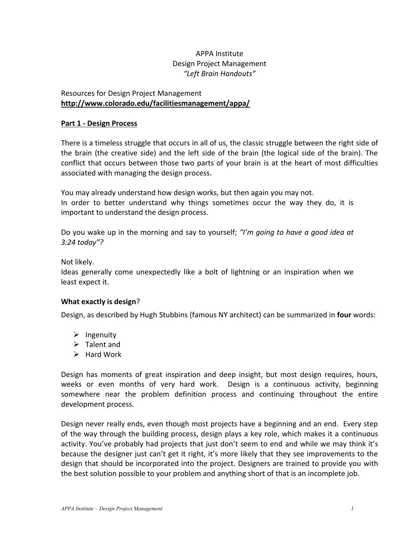# APPA Institute Design Project Management *"Left Brain Handouts"*

## Resources for Design Project Management **http://www.colorado.edu/facilitiesmanagement/appa/**

## **Part 1 - Design Process**

There is a timeless struggle that occurs in all of us, the classic struggle between the right side of the brain (the creative side) and the left side of the brain (the logical side of the brain). The conflict that occurs between those two parts of your brain is at the heart of most difficulties associated with managing the design process.

You may already understand how design works, but then again you may not. In order to better understand why things sometimes occur the way they do, it is important to understand the design process.

Do you wake up in the morning and say to yourself; *"I'm going to have a good idea at 3:24 today"?*

Not likely.

Ideas generally come unexpectedly like a bolt of lightning or an inspiration when we least expect it.

## **What exactly is design**?

Design, as described by Hugh Stubbins (famous NY architect) can be summarized in **four** words:

- $\triangleright$  Ingenuity
- $\triangleright$  Talent and
- $\triangleright$  Hard Work

Design has moments of great inspiration and deep insight, but most design requires, hours, weeks or even months of very hard work. Design is a continuous activity, beginning somewhere near the problem definition process and continuing throughout the entire development process.

Design never really ends, even though most projects have a beginning and an end. Every step of the way through the building process, design plays a key role, which makes it a continuous activity. You've probably had projects that just don't seem to end and while we may think it's because the designer just can't get it right, it's more likely that they see improvements to the design that should be incorporated into the project. Designers are trained to provide you with the best solution possible to your problem and anything short of that is an incomplete job.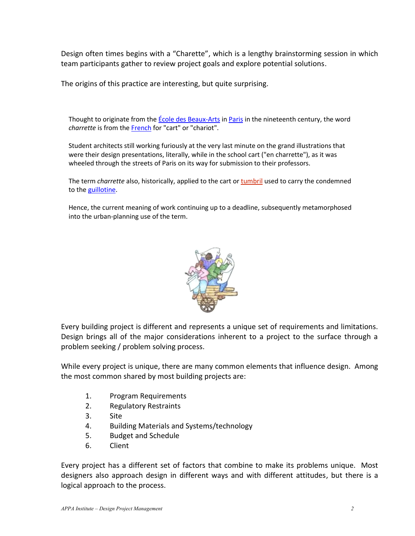Design often times begins with a "Charette", which is a lengthy brainstorming session in which team participants gather to review project goals and explore potential solutions.

The origins of this practice are interesting, but quite surprising.

Thought to originate from the *École des Beaux-Arts* in Paris in the nineteenth century, the word

charrette is from the <u>French</u> for "cart" or "chariot".<br>Student architects still working furiously at the very last minute on the grand illustrations that<br>were their design presentations, literally, while in the school car

The term *charrette* also, historically, applied to the cart or **tumbril** used to carry the condemned to the *guillotine*.

Hence, the current meaning of work continuing up to a deadline, subsequently metamorphosed into the urban-planning use of the term.



Every building project is different and represents a unique set of requirements and limitations. Design brings all of the major considerations inherent to a project to the surface through a problem seeking / problem solving process.

While every project is unique, there are many common elements that influence design. Among the most common shared by most building projects are:

- 1. Program Requirements
- 2. Regulatory Restraints
- 3. Site
- 4. Building Materials and Systems/technology
- 5. Budget and Schedule
- 6. Client

Every project has a different set of factors that combine to make its problems unique. Most designers also approach design in different ways and with different attitudes, but there is a logical approach to the process.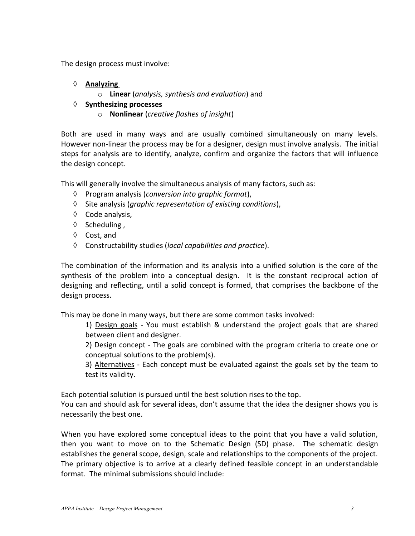The design process must involve:

- **Analyzing** 
	- o **Linear** (*analysis, synthesis and evaluation*) and
- **Synthesizing processes**
	- o **Nonlinear** (*creative flashes of insight*)

Both are used in many ways and are usually combined simultaneously on many levels. However non-linear the process may be for a designer, design must involve analysis. The initial steps for analysis are to identify, analyze, confirm and organize the factors that will influence the design concept.

This will generally involve the simultaneous analysis of many factors, such as:

- Program analysis (*conversion into graphic format*),
- $\Diamond$  Site analysis (*graphic representation of existing conditions*),
- $\Diamond$  Code analysis,
- $\Diamond$  Scheduling,
- $\Diamond$  Cost, and
- Constructability studies (*local capabilities and practice*).

The combination of the information and its analysis into a unified solution is the core of the synthesis of the problem into a conceptual design. It is the constant reciprocal action of designing and reflecting, until a solid concept is formed, that comprises the backbone of the design process.

This may be done in many ways, but there are some common tasks involved:

1) Design goals - You must establish & understand the project goals that are shared between client and designer.

2) Design concept - The goals are combined with the program criteria to create one or conceptual solutions to the problem(s).

3) Alternatives - Each concept must be evaluated against the goals set by the team to test its validity.

Each potential solution is pursued until the best solution rises to the top.

You can and should ask for several ideas, don't assume that the idea the designer shows you is necessarily the best one.

When you have explored some conceptual ideas to the point that you have a valid solution, then you want to move on to the Schematic Design (SD) phase. The schematic design establishes the general scope, design, scale and relationships to the components of the project. The primary objective is to arrive at a clearly defined feasible concept in an understandable format. The minimal submissions should include: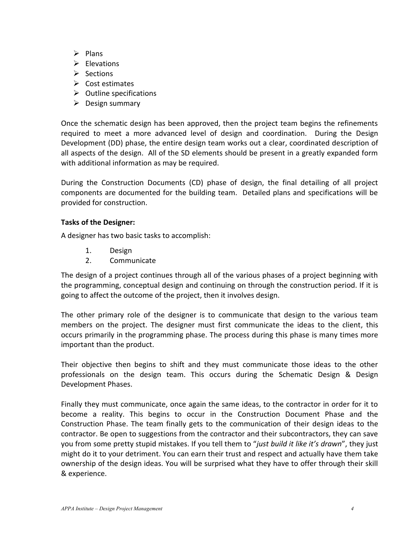- $\triangleright$  Plans
- $\triangleright$  Elevations
- $\triangleright$  Sections
- $\triangleright$  Cost estimates
- $\triangleright$  Outline specifications
- $\triangleright$  Design summary

Once the schematic design has been approved, then the project team begins the refinements required to meet a more advanced level of design and coordination. During the Design Development (DD) phase, the entire design team works out a clear, coordinated description of all aspects of the design. All of the SD elements should be present in a greatly expanded form with additional information as may be required.

During the Construction Documents (CD) phase of design, the final detailing of all project components are documented for the building team. Detailed plans and specifications will be provided for construction.

## **Tasks of the Designer:**

A designer has two basic tasks to accomplish:

- 1. Design
- 2. Communicate

The design of a project continues through all of the various phases of a project beginning with the programming, conceptual design and continuing on through the construction period. If it is going to affect the outcome of the project, then it involves design.

The other primary role of the designer is to communicate that design to the various team members on the project. The designer must first communicate the ideas to the client, this occurs primarily in the programming phase. The process during this phase is many times more important than the product.

Their objective then begins to shift and they must communicate those ideas to the other professionals on the design team. This occurs during the Schematic Design & Design Development Phases.

Finally they must communicate, once again the same ideas, to the contractor in order for it to become a reality. This begins to occur in the Construction Document Phase and the Construction Phase. The team finally gets to the communication of their design ideas to the contractor. Be open to suggestions from the contractor and their subcontractors, they can save you from some pretty stupid mistakes. If you tell them to "*just build it like it's drawn*", they just might do it to your detriment. You can earn their trust and respect and actually have them take ownership of the design ideas. You will be surprised what they have to offer through their skill & experience.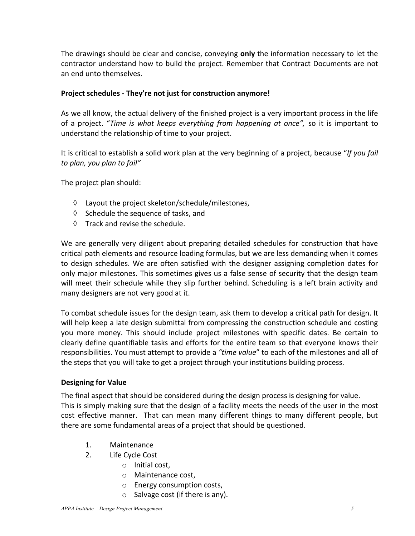The drawings should be clear and concise, conveying **only** the information necessary to let the contractor understand how to build the project. Remember that Contract Documents are not an end unto themselves.

## **Project schedules - They're not just for construction anymore!**

As we all know, the actual delivery of the finished project is a very important process in the life of a project. "*Time is what keeps everything from happening at once",* so it is important to understand the relationship of time to your project.

It is critical to establish a solid work plan at the very beginning of a project, because "*If you fail to plan, you plan to fail"*

The project plan should:

- $\Diamond$  Layout the project skeleton/schedule/milestones,
- $\Diamond$  Schedule the sequence of tasks, and
- $\Diamond$  Track and revise the schedule.

We are generally very diligent about preparing detailed schedules for construction that have critical path elements and resource loading formulas, but we are less demanding when it comes to design schedules. We are often satisfied with the designer assigning completion dates for only major milestones. This sometimes gives us a false sense of security that the design team will meet their schedule while they slip further behind. Scheduling is a left brain activity and many designers are not very good at it.

To combat schedule issues for the design team, ask them to develop a critical path for design. It will help keep a late design submittal from compressing the construction schedule and costing you more money. This should include project milestones with specific dates. Be certain to clearly define quantifiable tasks and efforts for the entire team so that everyone knows their responsibilities. You must attempt to provide a *"time value*" to each of the milestones and all of the steps that you will take to get a project through your institutions building process.

## **Designing for Value**

The final aspect that should be considered during the design process is designing for value. This is simply making sure that the design of a facility meets the needs of the user in the most cost effective manner. That can mean many different things to many different people, but there are some fundamental areas of a project that should be questioned.

- 1. Maintenance
- 2. Life Cycle Cost
	- o Initial cost,
	- o Maintenance cost,
	- o Energy consumption costs,
	- $\circ$  Salvage cost (if there is any).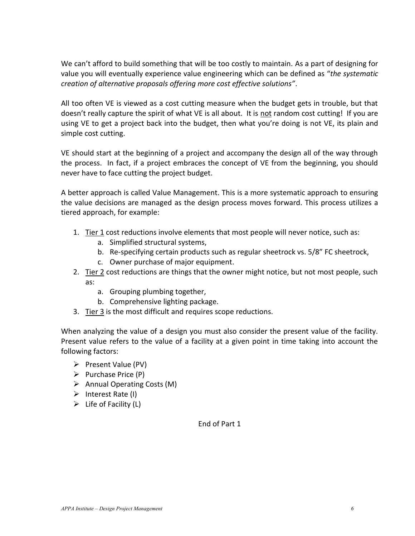We can't afford to build something that will be too costly to maintain. As a part of designing for value you will eventually experience value engineering which can be defined as "*the systematic creation of alternative proposals offering more cost effective solutions"*.

All too often VE is viewed as a cost cutting measure when the budget gets in trouble, but that doesn't really capture the spirit of what VE is all about. It is not random cost cutting! If you are using VE to get a project back into the budget, then what you're doing is not VE, its plain and simple cost cutting.

VE should start at the beginning of a project and accompany the design all of the way through the process. In fact, if a project embraces the concept of VE from the beginning, you should never have to face cutting the project budget.

A better approach is called Value Management. This is a more systematic approach to ensuring the value decisions are managed as the design process moves forward. This process utilizes a tiered approach, for example:

- 1. Tier 1 cost reductions involve elements that most people will never notice, such as:
	- a. Simplified structural systems,
	- b. Re-specifying certain products such as regular sheetrock vs. 5/8" FC sheetrock,
	- c. Owner purchase of major equipment.
- 2. Tier 2 cost reductions are things that the owner might notice, but not most people, such as:
	- a. Grouping plumbing together,
	- b. Comprehensive lighting package.
- 3. Tier 3 is the most difficult and requires scope reductions.

When analyzing the value of a design you must also consider the present value of the facility. Present value refers to the value of a facility at a given point in time taking into account the following factors:

- $\triangleright$  Present Value (PV)
- $\triangleright$  Purchase Price (P)
- $\triangleright$  Annual Operating Costs (M)
- $\triangleright$  Interest Rate (I)
- $\triangleright$  Life of Facility (L)

End of Part 1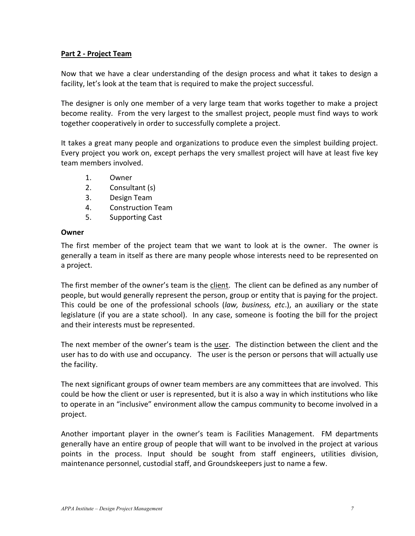# **Part 2 - Project Team**

Now that we have a clear understanding of the design process and what it takes to design a facility, let's look at the team that is required to make the project successful.

The designer is only one member of a very large team that works together to make a project become reality. From the very largest to the smallest project, people must find ways to work together cooperatively in order to successfully complete a project.

It takes a great many people and organizations to produce even the simplest building project. Every project you work on, except perhaps the very smallest project will have at least five key team members involved.

- 1. Owner
- 2. Consultant (s)
- 3. Design Team
- 4. Construction Team
- 5. Supporting Cast

## **Owner**

The first member of the project team that we want to look at is the owner. The owner is generally a team in itself as there are many people whose interests need to be represented on a project.

The first member of the owner's team is the client. The client can be defined as any number of people, but would generally represent the person, group or entity that is paying for the project. This could be one of the professional schools (*law, business, etc*.), an auxiliary or the state legislature (if you are a state school). In any case, someone is footing the bill for the project and their interests must be represented.

The next member of the owner's team is the user. The distinction between the client and the user has to do with use and occupancy. The user is the person or persons that will actually use the facility.

The next significant groups of owner team members are any committees that are involved. This could be how the client or user is represented, but it is also a way in which institutions who like to operate in an "inclusive" environment allow the campus community to become involved in a project.

Another important player in the owner's team is Facilities Management. FM departments generally have an entire group of people that will want to be involved in the project at various points in the process. Input should be sought from staff engineers, utilities division, maintenance personnel, custodial staff, and Groundskeepers just to name a few.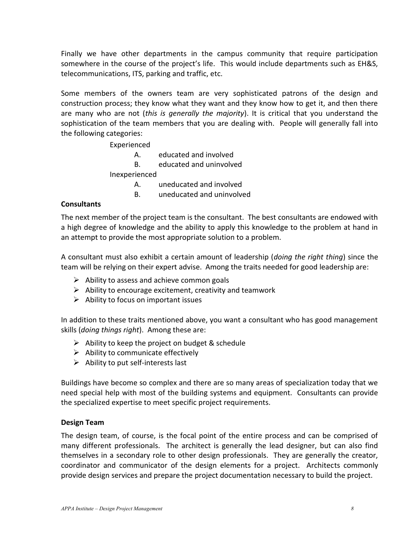Finally we have other departments in the campus community that require participation somewhere in the course of the project's life. This would include departments such as EH&S, telecommunications, ITS, parking and traffic, etc.

Some members of the owners team are very sophisticated patrons of the design and construction process; they know what they want and they know how to get it, and then there are many who are not (*this is generally the majority*). It is critical that you understand the sophistication of the team members that you are dealing with. People will generally fall into the following categories:

Experienced

- A. educated and involved
- B. educated and uninvolved

Inexperienced

- A. uneducated and involved
- B. uneducated and uninvolved

## **Consultants**

The next member of the project team is the consultant. The best consultants are endowed with a high degree of knowledge and the ability to apply this knowledge to the problem at hand in an attempt to provide the most appropriate solution to a problem.

A consultant must also exhibit a certain amount of leadership (*doing the right thing*) since the team will be relying on their expert advise. Among the traits needed for good leadership are:

- $\triangleright$  Ability to assess and achieve common goals
- $\triangleright$  Ability to encourage excitement, creativity and teamwork
- $\triangleright$  Ability to focus on important issues

In addition to these traits mentioned above, you want a consultant who has good management skills (*doing things right*). Among these are:

- $\triangleright$  Ability to keep the project on budget & schedule
- $\triangleright$  Ability to communicate effectively
- $\triangleright$  Ability to put self-interests last

Buildings have become so complex and there are so many areas of specialization today that we need special help with most of the building systems and equipment. Consultants can provide the specialized expertise to meet specific project requirements.

## **Design Team**

The design team, of course, is the focal point of the entire process and can be comprised of many different professionals. The architect is generally the lead designer, but can also find themselves in a secondary role to other design professionals. They are generally the creator, coordinator and communicator of the design elements for a project. Architects commonly provide design services and prepare the project documentation necessary to build the project.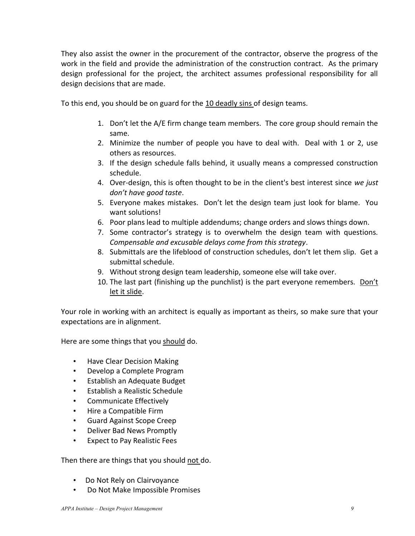They also assist the owner in the procurement of the contractor, observe the progress of the work in the field and provide the administration of the construction contract. As the primary design professional for the project, the architect assumes professional responsibility for all design decisions that are made.

To this end, you should be on guard for the 10 deadly sins of design teams.

- 1. Don't let the A/E firm change team members. The core group should remain the same.
- 2. Minimize the number of people you have to deal with. Deal with 1 or 2, use others as resources.
- 3. If the design schedule falls behind, it usually means a compressed construction schedule.
- 4. Over-design, this is often thought to be in the client's best interest since *we just don't have good taste*.
- 5. Everyone makes mistakes. Don't let the design team just look for blame. You want solutions!
- 6. Poor plans lead to multiple addendums; change orders and slows things down.
- 7. Some contractor's strategy is to overwhelm the design team with questions. *Compensable and excusable delays come from this strategy*.
- 8. Submittals are the lifeblood of construction schedules, don't let them slip. Get a submittal schedule.
- 9. Without strong design team leadership, someone else will take over.
- 10. The last part (finishing up the punchlist) is the part everyone remembers. Don't let it slide.

Your role in working with an architect is equally as important as theirs, so make sure that your expectations are in alignment.

Here are some things that you should do.

- Have Clear Decision Making
- Develop a Complete Program
- Establish an Adequate Budget
- Establish a Realistic Schedule
- Communicate Effectively
- Hire a Compatible Firm
- Guard Against Scope Creep
- Deliver Bad News Promptly
- Expect to Pay Realistic Fees

Then there are things that you should not do.

- Do Not Rely on Clairvoyance
- Do Not Make Impossible Promises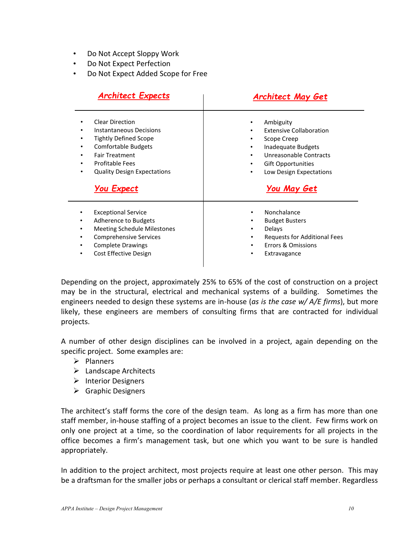- Do Not Accept Sloppy Work
- Do Not Expect Perfection
- Do Not Expect Added Scope for Free

| <b>Architect Expects</b>                                                                                                                                                                                                      | <b>Architect May Get</b>                                                                                                                                                                                |  |
|-------------------------------------------------------------------------------------------------------------------------------------------------------------------------------------------------------------------------------|---------------------------------------------------------------------------------------------------------------------------------------------------------------------------------------------------------|--|
| <b>Clear Direction</b><br>Instantaneous Decisions<br><b>Tightly Defined Scope</b><br><b>Comfortable Budgets</b><br><b>Fair Treatment</b><br><b>Profitable Fees</b><br><b>Quality Design Expectations</b><br><b>You Expect</b> | Ambiguity<br><b>Extensive Collaboration</b><br>Scope Creep<br>٠<br>Inadequate Budgets<br>٠<br>Unreasonable Contracts<br>٠<br><b>Gift Opportunities</b><br>Low Design Expectations<br><b>You May Get</b> |  |
| <b>Exceptional Service</b><br>Adherence to Budgets<br><b>Meeting Schedule Milestones</b><br><b>Comprehensive Services</b><br><b>Complete Drawings</b><br>Cost Effective Design<br>٠                                           | Nonchalance<br><b>Budget Busters</b><br>٠<br>Delays<br>$\bullet$<br><b>Requests for Additional Fees</b><br>$\bullet$<br>Errors & Omissions<br>٠<br>Extravagance                                         |  |

Depending on the project, approximately 25% to 65% of the cost of construction on a project may be in the structural, electrical and mechanical systems of a building. Sometimes the engineers needed to design these systems are in-house (*as is the case w/ A/E firms*), but more likely, these engineers are members of consulting firms that are contracted for individual projects.

A number of other design disciplines can be involved in a project, again depending on the specific project. Some examples are:

- $\triangleright$  Planners
- $\blacktriangleright$  Landscape Architects
- $\triangleright$  Interior Designers
- $\triangleright$  Graphic Designers

The architect's staff forms the core of the design team. As long as a firm has more than one staff member, in-house staffing of a project becomes an issue to the client. Few firms work on only one project at a time, so the coordination of labor requirements for all projects in the office becomes a firm's management task, but one which you want to be sure is handled appropriately.

In addition to the project architect, most projects require at least one other person. This may be a draftsman for the smaller jobs or perhaps a consultant or clerical staff member. Regardless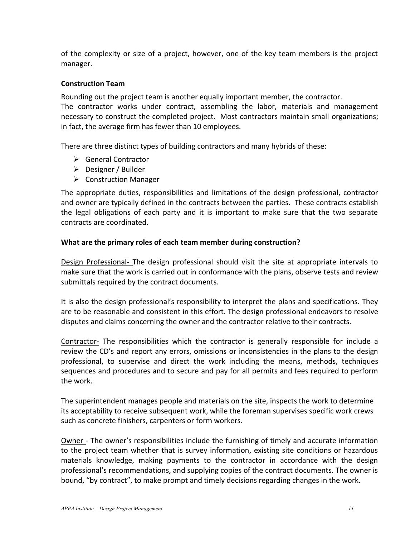of the complexity or size of a project, however, one of the key team members is the project manager.

# **Construction Team**

Rounding out the project team is another equally important member, the contractor. The contractor works under contract, assembling the labor, materials and management necessary to construct the completed project. Most contractors maintain small organizations; in fact, the average firm has fewer than 10 employees.

There are three distinct types of building contractors and many hybrids of these:

- General Contractor
- $\triangleright$  Designer / Builder
- $\triangleright$  Construction Manager

The appropriate duties, responsibilities and limitations of the design professional, contractor and owner are typically defined in the contracts between the parties.These contracts establish the legal obligations of each party and it is important to make sure that the two separate contracts are coordinated.

## **What are the primary roles of each team member during construction?**

Design Professional- The design professional should visit the site at appropriate intervals to make sure that the work is carried out in conformance with the plans, observe tests and review submittals required by the contract documents.

It is also the design professional's responsibility to interpret the plans and specifications. They are to be reasonable and consistent in this effort. The design professional endeavors to resolve disputes and claims concerning the owner and the contractor relative to their contracts.

Contractor- The responsibilities which the contractor is generally responsible for include a review the CD's and report any errors, omissions or inconsistencies in the plans to the design professional, to supervise and direct the work including the means, methods, techniques sequences and procedures and to secure and pay for all permits and fees required to perform the work.

The superintendent manages people and materials on the site, inspects the work to determine its acceptability to receive subsequent work, while the foreman supervises specific work crews such as concrete finishers, carpenters or form workers.

Owner - The owner's responsibilities include the furnishing of timely and accurate information to the project team whether that is survey information, existing site conditions or hazardous materials knowledge, making payments to the contractor in accordance with the design professional's recommendations, and supplying copies of the contract documents. The owner is bound, "by contract", to make prompt and timely decisions regarding changes in the work.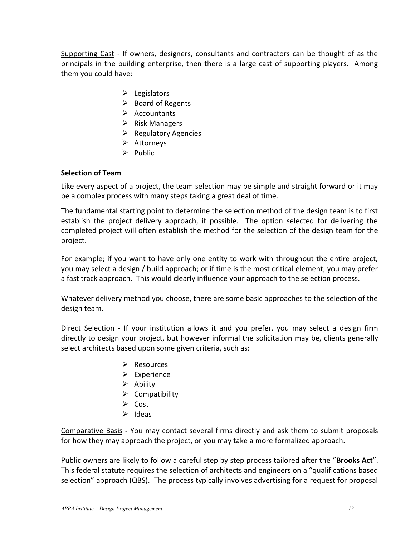Supporting Cast - If owners, designers, consultants and contractors can be thought of as the principals in the building enterprise, then there is a large cast of supporting players. Among them you could have:

- $\blacktriangleright$  Legislators
- $\triangleright$  Board of Regents
- $\triangleright$  Accountants
- $\triangleright$  Risk Managers
- $\triangleright$  Regulatory Agencies
- $\triangleright$  Attorneys
- $\triangleright$  Public

## **Selection of Team**

Like every aspect of a project, the team selection may be simple and straight forward or it may be a complex process with many steps taking a great deal of time.

The fundamental starting point to determine the selection method of the design team is to first establish the project delivery approach, if possible. The option selected for delivering the completed project will often establish the method for the selection of the design team for the project.

For example; if you want to have only one entity to work with throughout the entire project, you may select a design / build approach; or if time is the most critical element, you may prefer a fast track approach. This would clearly influence your approach to the selection process.

Whatever delivery method you choose, there are some basic approaches to the selection of the design team.

Direct Selection - If your institution allows it and you prefer, you may select a design firm directly to design your project, but however informal the solicitation may be, clients generally select architects based upon some given criteria, such as:

- $\triangleright$  Resources
- $\triangleright$  Experience
- $\triangleright$  Ability
- $\triangleright$  Compatibility
- $\triangleright$  Cost
- $\triangleright$  Ideas

Comparative Basis **-** You may contact several firms directly and ask them to submit proposals for how they may approach the project, or you may take a more formalized approach.

Public owners are likely to follow a careful step by step process tailored after the "**Brooks Act**". This federal statute requires the selection of architects and engineers on a "qualifications based selection" approach (QBS). The process typically involves advertising for a request for proposal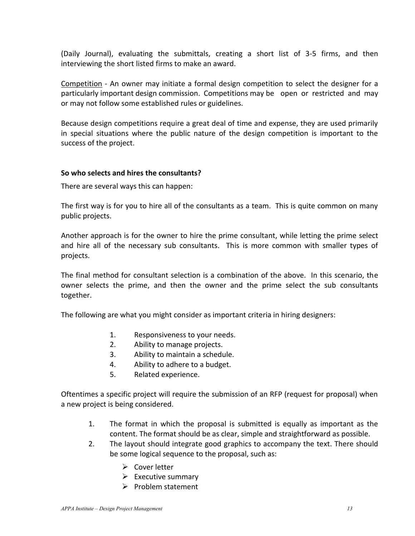(Daily Journal), evaluating the submittals, creating a short list of 3-5 firms, and then interviewing the short listed firms to make an award.

Competition - An owner may initiate a formal design competition to select the designer for a particularly important design commission. Competitions may be open or restricted and may or may not follow some established rules or guidelines.

Because design competitions require a great deal of time and expense, they are used primarily in special situations where the public nature of the design competition is important to the success of the project.

## **So who selects and hires the consultants?**

There are several ways this can happen:

The first way is for you to hire all of the consultants as a team. This is quite common on many public projects.

Another approach is for the owner to hire the prime consultant, while letting the prime select and hire all of the necessary sub consultants. This is more common with smaller types of projects.

The final method for consultant selection is a combination of the above. In this scenario, the owner selects the prime, and then the owner and the prime select the sub consultants together.

The following are what you might consider as important criteria in hiring designers:

- 1. Responsiveness to your needs.
- 2. Ability to manage projects.
- 3. Ability to maintain a schedule.
- 4. Ability to adhere to a budget.
- 5. Related experience.

Oftentimes a specific project will require the submission of an RFP (request for proposal) when a new project is being considered.

- 1. The format in which the proposal is submitted is equally as important as the content. The format should be as clear, simple and straightforward as possible.
- 2. The layout should integrate good graphics to accompany the text. There should be some logical sequence to the proposal, such as:
	- $\triangleright$  Cover letter
	- $\triangleright$  Executive summary
	- $\triangleright$  Problem statement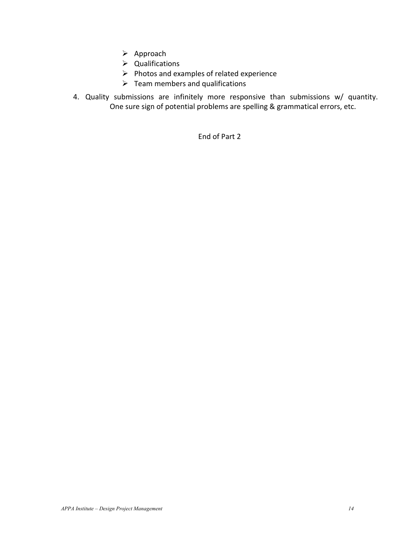- $\triangleright$  Approach
- $\triangleright$  Qualifications
- $\triangleright$  Photos and examples of related experience
- $\triangleright$  Team members and qualifications
- 4. Quality submissions are infinitely more responsive than submissions w/ quantity. One sure sign of potential problems are spelling & grammatical errors, etc.

End of Part 2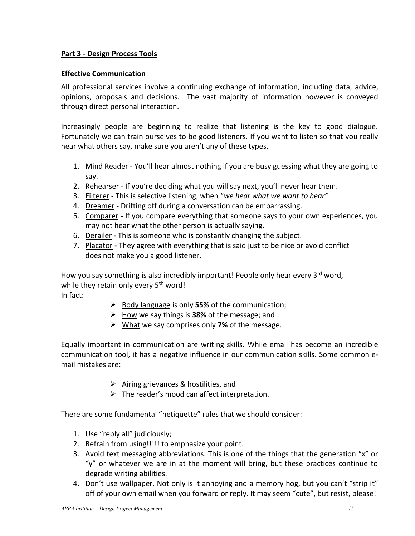# **Part 3 - Design Process Tools**

# **Effective Communication**

All professional services involve a continuing exchange of information, including data, advice, opinions, proposals and decisions. The vast majority of information however is conveyed through direct personal interaction.

Increasingly people are beginning to realize that listening is the key to good dialogue. Fortunately we can train ourselves to be good listeners. If you want to listen so that you really hear what others say, make sure you aren't any of these types.

- 1. Mind Reader You'll hear almost nothing if you are busy guessing what they are going to say.
- 2. Rehearser If you're deciding what you will say next, you'll never hear them.
- 3. Filterer This is selective listening, when "*we hear what we want to hear"*.
- 4. Dreamer Drifting off during a conversation can be embarrassing.
- 5. Comparer If you compare everything that someone says to your own experiences, you may not hear what the other person is actually saying.
- 6. Derailer This is someone who is constantly changing the subject.
- 7. Placator They agree with everything that is said just to be nice or avoid conflict does not make you a good listener.

How you say something is also incredibly important! People only hear every 3<sup>rd</sup> word, while they retain only every  $5<sup>th</sup>$  word!

In fact:

- Body language is only **55%** of the communication;
- $\triangleright$  How we say things is **38%** of the message; and
- What we say comprises only **7%** of the message.

Equally important in communication are writing skills. While email has become an incredible communication tool, it has a negative influence in our communication skills. Some common email mistakes are:

- $\triangleright$  Airing grievances & hostilities, and
- $\triangleright$  The reader's mood can affect interpretation.

There are some fundamental "netiquette" rules that we should consider:

- 1. Use "reply all" judiciously;
- 2. Refrain from using!!!!! to emphasize your point.
- 3. Avoid text messaging abbreviations. This is one of the things that the generation "x" or "y" or whatever we are in at the moment will bring, but these practices continue to degrade writing abilities.
- 4. Don't use wallpaper. Not only is it annoying and a memory hog, but you can't "strip it" off of your own email when you forward or reply. It may seem "cute", but resist, please!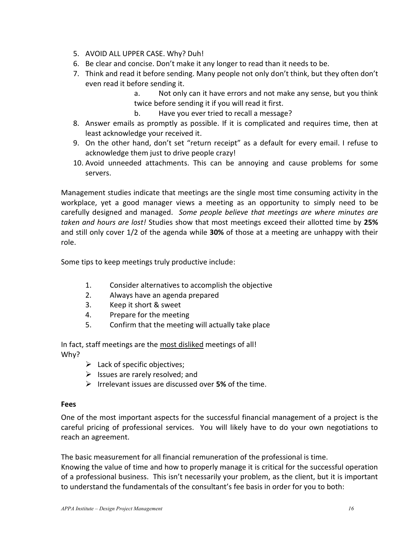- 5. AVOID ALL UPPER CASE. Why? Duh!
- 6. Be clear and concise. Don't make it any longer to read than it needs to be.
- 7. Think and read it before sending. Many people not only don't think, but they often don't even read it before sending it.
	- a. Not only can it have errors and not make any sense, but you think twice before sending it if you will read it first.
	- b. Have you ever tried to recall a message?
- 8. Answer emails as promptly as possible. If it is complicated and requires time, then at least acknowledge your received it.
- 9. On the other hand, don't set "return receipt" as a default for every email. I refuse to acknowledge them just to drive people crazy!
- 10. Avoid unneeded attachments. This can be annoying and cause problems for some servers.

Management studies indicate that meetings are the single most time consuming activity in the workplace, yet a good manager views a meeting as an opportunity to simply need to be carefully designed and managed. *Some people believe that meetings are where minutes are taken and hours are lost!* Studies show that most meetings exceed their allotted time by **25%** and still only cover 1/2 of the agenda while **30%** of those at a meeting are unhappy with their role.

Some tips to keep meetings truly productive include:

- 1. Consider alternatives to accomplish the objective
- 2. Always have an agenda prepared
- 3. Keep it short & sweet
- 4. Prepare for the meeting
- 5. Confirm that the meeting will actually take place

In fact, staff meetings are the most disliked meetings of all! Why?

- $\blacktriangleright$  Lack of specific objectives;
- $\triangleright$  Issues are rarely resolved; and
- Irrelevant issues are discussed over **5%** of the time.

## **Fees**

One of the most important aspects for the successful financial management of a project is the careful pricing of professional services. You will likely have to do your own negotiations to reach an agreement.

The basic measurement for all financial remuneration of the professional is time. Knowing the value of time and how to properly manage it is critical for the successful operation of a professional business. This isn't necessarily your problem, as the client, but it is important to understand the fundamentals of the consultant's fee basis in order for you to both: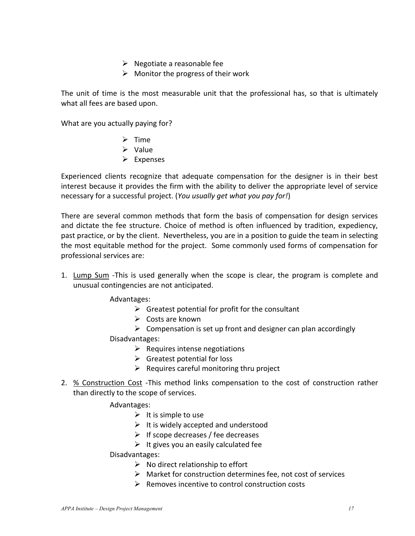- $\triangleright$  Negotiate a reasonable fee
- $\triangleright$  Monitor the progress of their work

The unit of time is the most measurable unit that the professional has, so that is ultimately what all fees are based upon.

What are you actually paying for?

- $\triangleright$  Time
- $\triangleright$  Value
- $\triangleright$  Expenses

Experienced clients recognize that adequate compensation for the designer is in their best interest because it provides the firm with the ability to deliver the appropriate level of service necessary for a successful project. (*You usually get what you pay for!*)

There are several common methods that form the basis of compensation for design services and dictate the fee structure. Choice of method is often influenced by tradition, expediency, past practice, or by the client. Nevertheless, you are in a position to guide the team in selecting the most equitable method for the project. Some commonly used forms of compensation for professional services are:

1. Lump Sum -This is used generally when the scope is clear, the program is complete and unusual contingencies are not anticipated.

Advantages:

- $\triangleright$  Greatest potential for profit for the consultant
- $\triangleright$  Costs are known
- $\triangleright$  Compensation is set up front and designer can plan accordingly

Disadvantages:

- $\triangleright$  Requires intense negotiations
- $\triangleright$  Greatest potential for loss
- $\triangleright$  Requires careful monitoring thru project
- 2. % Construction Cost -This method links compensation to the cost of construction rather than directly to the scope of services.

Advantages:

- $\triangleright$  It is simple to use
- $\triangleright$  It is widely accepted and understood
- $\triangleright$  If scope decreases / fee decreases
- $\triangleright$  It gives you an easily calculated fee

Disadvantages:

- $\triangleright$  No direct relationship to effort
- $\triangleright$  Market for construction determines fee, not cost of services
- $\triangleright$  Removes incentive to control construction costs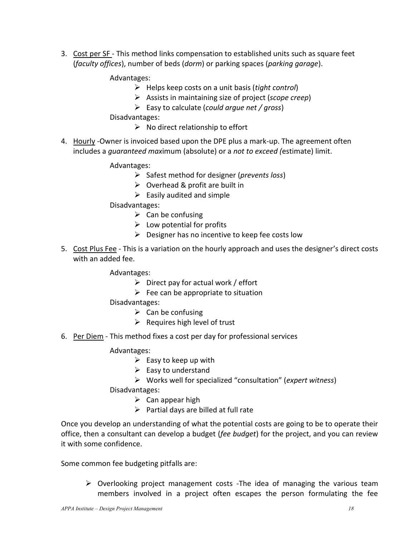3. Cost per SF - This method links compensation to established units such as square feet (*faculty offices*), number of beds (*dorm*) or parking spaces (*parking garage*).

Advantages:

- Helps keep costs on a unit basis (*tight control*)
- Assists in maintaining size of project (*scope creep*)
- Easy to calculate (*could argue net / gross*)

Disadvantages:

- $\triangleright$  No direct relationship to effort
- 4. Hourly -Owner is invoiced based upon the DPE plus a mark-up. The agreement often includes a *guaranteed max*imum (absolute) or a *not to exceed (*estimate) limit.

Advantages:

- Safest method for designer (*prevents loss*)
- $\triangleright$  Overhead & profit are built in
- $\triangleright$  Easily audited and simple

Disadvantages:

- $\triangleright$  Can be confusing
- $\triangleright$  Low potential for profits
- $\triangleright$  Designer has no incentive to keep fee costs low
- 5. Cost Plus Fee This is a variation on the hourly approach and uses the designer's direct costs with an added fee.

Advantages:

- $\triangleright$  Direct pay for actual work / effort
- $\triangleright$  Fee can be appropriate to situation

Disadvantages:

- $\triangleright$  Can be confusing
- $\triangleright$  Requires high level of trust
- 6. Per Diem This method fixes a cost per day for professional services

Advantages:

- $\triangleright$  Easy to keep up with
- $\triangleright$  Easy to understand
- Works well for specialized "consultation" (*expert witness*)

Disadvantages:

- $\triangleright$  Can appear high
- $\triangleright$  Partial days are billed at full rate

Once you develop an understanding of what the potential costs are going to be to operate their office, then a consultant can develop a budget (*fee budget*) for the project, and you can review it with some confidence.

Some common fee budgeting pitfalls are:

 $\triangleright$  Overlooking project management costs -The idea of managing the various team members involved in a project often escapes the person formulating the fee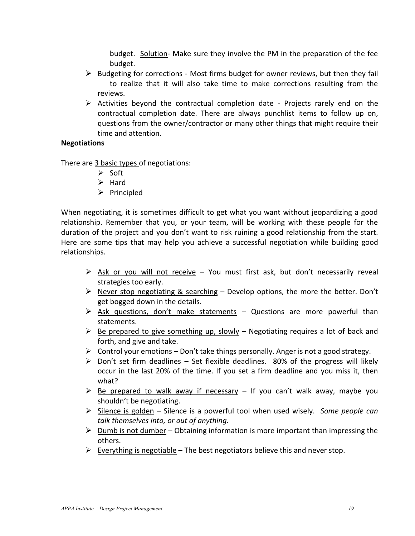budget. Solution- Make sure they involve the PM in the preparation of the fee budget.

- $\triangleright$  Budgeting for corrections Most firms budget for owner reviews, but then they fail to realize that it will also take time to make corrections resulting from the reviews.
- $\triangleright$  Activities beyond the contractual completion date Projects rarely end on the contractual completion date. There are always punchlist items to follow up on, questions from the owner/contractor or many other things that might require their time and attention.

## **Negotiations**

There are 3 basic types of negotiations:

- $\triangleright$  Soft
- $\triangleright$  Hard
- $\triangleright$  Principled

When negotiating, it is sometimes difficult to get what you want without jeopardizing a good relationship. Remember that you, or your team, will be working with these people for the duration of the project and you don't want to risk ruining a good relationship from the start. Here are some tips that may help you achieve a successful negotiation while building good relationships.

- $\triangleright$  Ask or you will not receive You must first ask, but don't necessarily reveal strategies too early.
- $\triangleright$  Never stop negotiating & searching Develop options, the more the better. Don't get bogged down in the details.
- $\triangleright$  Ask questions, don't make statements Questions are more powerful than statements.
- $\triangleright$  Be prepared to give something up, slowly Negotiating requires a lot of back and forth, and give and take.
- $\triangleright$  Control your emotions Don't take things personally. Anger is not a good strategy.
- $\triangleright$  Don't set firm deadlines Set flexible deadlines. 80% of the progress will likely occur in the last 20% of the time. If you set a firm deadline and you miss it, then what?
- $\triangleright$  Be prepared to walk away if necessary If you can't walk away, maybe you shouldn't be negotiating.
- Silence is golden Silence is a powerful tool when used wisely. *Some people can talk themselves into, or out of anything.*
- $\triangleright$  Dumb is not dumber Obtaining information is more important than impressing the others.
- $\triangleright$  Everything is negotiable The best negotiators believe this and never stop.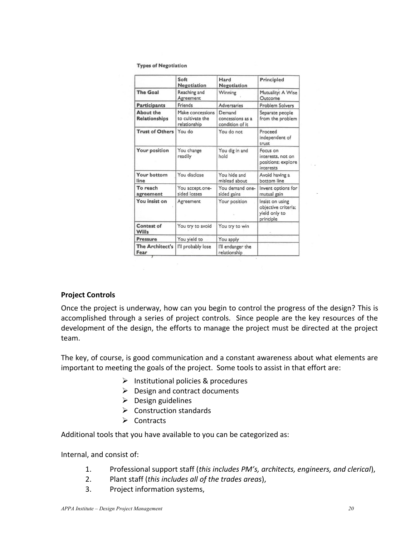**Types of Negotiation** 

|                                   | Soft<br>Negotiation                                  | Hard<br>Negotiation                           | <b>Principled</b>                                                    |
|-----------------------------------|------------------------------------------------------|-----------------------------------------------|----------------------------------------------------------------------|
| <b>The Goal</b>                   | Reaching and<br>Agreement                            | Winning                                       | Mutuality: A Wise<br>Outcome                                         |
| <b>Participants</b>               | Friends                                              | <b>Adversaries</b>                            | <b>Problem Solvers</b>                                               |
| About the<br><b>Relationships</b> | Make concessions<br>to cultivate the<br>relationship | Demand<br>concessions as a<br>condition of it | Separate people<br>from the problem                                  |
| <b>Trust of Others</b>            | You do                                               | You do not                                    | Proceed<br>independent of<br>trust                                   |
| Your position                     | You change<br>readily                                | You dig in and<br>hold                        | Focus on<br>interests, not on<br>positions; explore<br>interests     |
| Your bottom<br>line               | You disclose                                         | You hide and<br>mislead about                 | Avoid having a<br>bottom line                                        |
| To reach<br>agreement             | You accept.one-<br>sided losses                      | You demand one-<br>sided gains                | Invent options for<br>mutual gain                                    |
| You insist on                     | Agreement                                            | Your position                                 | Insist on using<br>objective criteria;<br>yield only to<br>principle |
| <b>Contest of</b><br><b>Wills</b> | You try to avoid                                     | You try to win                                |                                                                      |
| <b>Pressure</b>                   | You yield to                                         | You apply                                     |                                                                      |
| <b>The Architect's</b><br>Fear    | I'll probably lose                                   | I'll endanger the<br>relationship             |                                                                      |

#### **Project Controls**

Once the project is underway, how can you begin to control the progress of the design? This is accomplished through a series of project controls. Since people are the key resources of the development of the design, the efforts to manage the project must be directed at the project team.

The key, of course, is good communication and a constant awareness about what elements are important to meeting the goals of the project. Some tools to assist in that effort are:

- $\triangleright$  Institutional policies & procedures
- $\triangleright$  Design and contract documents
- $\triangleright$  Design guidelines
- $\triangleright$  Construction standards
- $\triangleright$  Contracts

 $\sim$ 

Additional tools that you have available to you can be categorized as:

Internal, and consist of:

- 1. Professional support staff (*this includes PM's, architects, engineers, and clerical*),
- 2. Plant staff (*this includes all of the trades areas*),
- 3. Project information systems,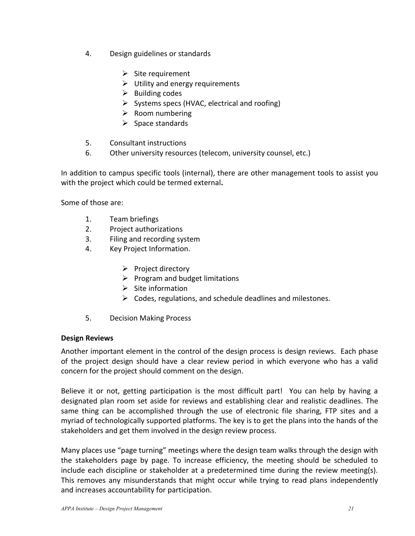- 4. Design guidelines or standards
	- $\triangleright$  Site requirement
	- $\triangleright$  Utility and energy requirements
	- $\triangleright$  Building codes
	- $\triangleright$  Systems specs (HVAC, electrical and roofing)
	- $\triangleright$  Room numbering
	- $\triangleright$  Space standards
- 5. Consultant instructions
- 6. Other university resources (telecom, university counsel, etc.)

In addition to campus specific tools (internal), there are other management tools to assist you with the project which could be termed external**.**

Some of those are:

- 1. Team briefings
- 2. Project authorizations
- 3. Filing and recording system
- 4. Key Project Information.
	- $\triangleright$  Project directory
	- $\triangleright$  Program and budget limitations
	- $\triangleright$  Site information
	- $\triangleright$  Codes, regulations, and schedule deadlines and milestones.
- 5. Decision Making Process

## **Design Reviews**

Another important element in the control of the design process is design reviews. Each phase of the project design should have a clear review period in which everyone who has a valid concern for the project should comment on the design.

Believe it or not, getting participation is the most difficult part! You can help by having a designated plan room set aside for reviews and establishing clear and realistic deadlines. The same thing can be accomplished through the use of electronic file sharing, FTP sites and a myriad of technologically supported platforms. The key is to get the plans into the hands of the stakeholders and get them involved in the design review process.

Many places use "page turning" meetings where the design team walks through the design with the stakeholders page by page. To increase efficiency, the meeting should be scheduled to include each discipline or stakeholder at a predetermined time during the review meeting(s). This removes any misunderstands that might occur while trying to read plans independently and increases accountability for participation.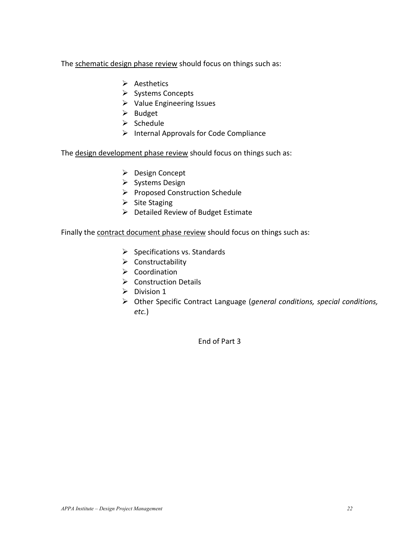The schematic design phase review should focus on things such as:

- $\triangleright$  Aesthetics
- $\triangleright$  Systems Concepts
- $\triangleright$  Value Engineering Issues
- $\triangleright$  Budget
- $\triangleright$  Schedule
- $\triangleright$  Internal Approvals for Code Compliance

The design development phase review should focus on things such as:

- ▶ Design Concept
- $\triangleright$  Systems Design
- $\triangleright$  Proposed Construction Schedule
- $\triangleright$  Site Staging
- $\triangleright$  Detailed Review of Budget Estimate

Finally the contract document phase review should focus on things such as:

- $\triangleright$  Specifications vs. Standards
- $\triangleright$  Constructability
- $\triangleright$  Coordination
- $\triangleright$  Construction Details
- $\triangleright$  Division 1
- Other Specific Contract Language (*general conditions, special conditions, etc.*)

End of Part 3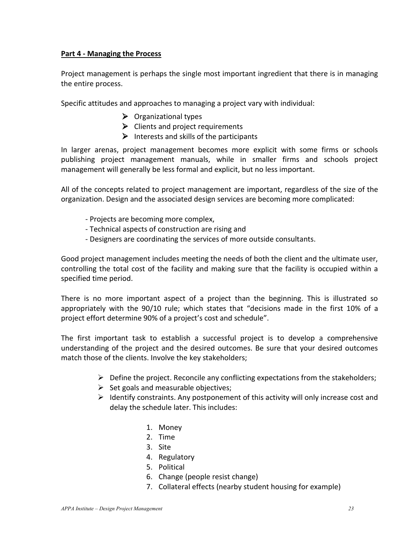## **Part 4 - Managing the Process**

Project management is perhaps the single most important ingredient that there is in managing the entire process.

Specific attitudes and approaches to managing a project vary with individual:

- $\triangleright$  Organizational types
- $\triangleright$  Clients and project requirements
- $\triangleright$  Interests and skills of the participants

In larger arenas, project management becomes more explicit with some firms or schools publishing project management manuals, while in smaller firms and schools project management will generally be less formal and explicit, but no less important.

All of the concepts related to project management are important, regardless of the size of the organization. Design and the associated design services are becoming more complicated:

- Projects are becoming more complex,
- Technical aspects of construction are rising and
- Designers are coordinating the services of more outside consultants.

Good project management includes meeting the needs of both the client and the ultimate user, controlling the total cost of the facility and making sure that the facility is occupied within a specified time period.

There is no more important aspect of a project than the beginning. This is illustrated so appropriately with the 90/10 rule; which states that "decisions made in the first 10% of a project effort determine 90% of a project's cost and schedule".

The first important task to establish a successful project is to develop a comprehensive understanding of the project and the desired outcomes. Be sure that your desired outcomes match those of the clients. Involve the key stakeholders;

- $\triangleright$  Define the project. Reconcile any conflicting expectations from the stakeholders;
- $\triangleright$  Set goals and measurable objectives;
- $\triangleright$  Identify constraints. Any postponement of this activity will only increase cost and delay the schedule later. This includes:
	- 1. Money
	- 2. Time
	- 3. Site
	- 4. Regulatory
	- 5. Political
	- 6. Change (people resist change)
	- 7. Collateral effects (nearby student housing for example)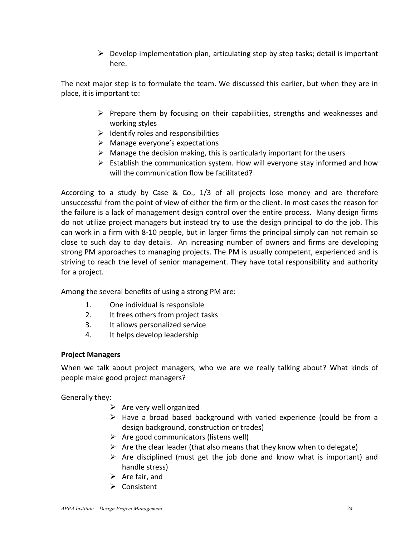$\triangleright$  Develop implementation plan, articulating step by step tasks; detail is important here.

The next major step is to formulate the team. We discussed this earlier, but when they are in place, it is important to:

- $\triangleright$  Prepare them by focusing on their capabilities, strengths and weaknesses and working styles
- $\triangleright$  Identify roles and responsibilities
- > Manage everyone's expectations
- $\triangleright$  Manage the decision making, this is particularly important for the users
- $\triangleright$  Establish the communication system. How will everyone stay informed and how will the communication flow be facilitated?

According to a study by Case & Co., 1/3 of all projects lose money and are therefore unsuccessful from the point of view of either the firm or the client. In most cases the reason for the failure is a lack of management design control over the entire process. Many design firms do not utilize project managers but instead try to use the design principal to do the job. This can work in a firm with 8-10 people, but in larger firms the principal simply can not remain so close to such day to day details. An increasing number of owners and firms are developing strong PM approaches to managing projects. The PM is usually competent, experienced and is striving to reach the level of senior management. They have total responsibility and authority for a project.

Among the several benefits of using a strong PM are:

- 1. One individual is responsible
- 2. It frees others from project tasks
- 3. It allows personalized service
- 4. It helps develop leadership

# **Project Managers**

When we talk about project managers, who we are we really talking about? What kinds of people make good project managers?

Generally they:

- $\triangleright$  Are very well organized
- $\triangleright$  Have a broad based background with varied experience (could be from a design background, construction or trades)
- $\triangleright$  Are good communicators (listens well)
- $\triangleright$  Are the clear leader (that also means that they know when to delegate)
- $\triangleright$  Are disciplined (must get the job done and know what is important) and handle stress)
- $\triangleright$  Are fair, and
- Consistent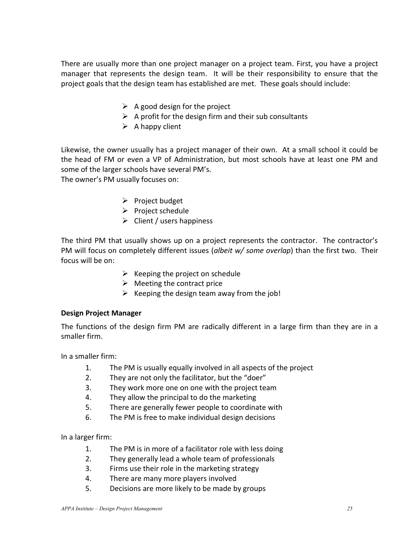There are usually more than one project manager on a project team. First, you have a project manager that represents the design team. It will be their responsibility to ensure that the project goals that the design team has established are met. These goals should include:

- $\triangleright$  A good design for the project
- $\triangleright$  A profit for the design firm and their sub consultants
- $\triangleright$  A happy client

Likewise, the owner usually has a project manager of their own. At a small school it could be the head of FM or even a VP of Administration, but most schools have at least one PM and some of the larger schools have several PM's.

The owner's PM usually focuses on:

- $\triangleright$  Project budget
- $\triangleright$  Project schedule
- $\triangleright$  Client / users happiness

The third PM that usually shows up on a project represents the contractor. The contractor's PM will focus on completely different issues (*albeit w/ some overlap*) than the first two. Their focus will be on:

- $\triangleright$  Keeping the project on schedule
- $\triangleright$  Meeting the contract price
- $\triangleright$  Keeping the design team away from the job!

## **Design Project Manager**

The functions of the design firm PM are radically different in a large firm than they are in a smaller firm.

In a smaller firm:

- 1. The PM is usually equally involved in all aspects of the project
- 2. They are not only the facilitator, but the "doer"
- 3. They work more one on one with the project team
- 4. They allow the principal to do the marketing
- 5. There are generally fewer people to coordinate with
- 6. The PM is free to make individual design decisions

In a larger firm:

- 1. The PM is in more of a facilitator role with less doing
- 2. They generally lead a whole team of professionals
- 3. Firms use their role in the marketing strategy
- 4. There are many more players involved
- 5. Decisions are more likely to be made by groups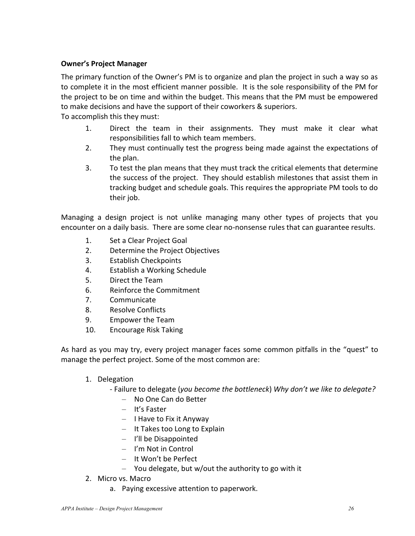# **Owner's Project Manager**

The primary function of the Owner's PM is to organize and plan the project in such a way so as to complete it in the most efficient manner possible. It is the sole responsibility of the PM for the project to be on time and within the budget. This means that the PM must be empowered to make decisions and have the support of their coworkers & superiors.

To accomplish this they must:

- 1. Direct the team in their assignments. They must make it clear what responsibilities fall to which team members.
- 2. They must continually test the progress being made against the expectations of the plan.
- 3. To test the plan means that they must track the critical elements that determine the success of the project. They should establish milestones that assist them in tracking budget and schedule goals. This requires the appropriate PM tools to do their job.

Managing a design project is not unlike managing many other types of projects that you encounter on a daily basis. There are some clear no-nonsense rules that can guarantee results.

- 1. Set a Clear Project Goal
- 2. Determine the Project Objectives
- 3. Establish Checkpoints
- 4. Establish a Working Schedule
- 5. Direct the Team
- 6. Reinforce the Commitment
- 7. Communicate
- 8. Resolve Conflicts
- 9. Empower the Team
- 10. Encourage Risk Taking

As hard as you may try, every project manager faces some common pitfalls in the "quest" to manage the perfect project. Some of the most common are:

1. Delegation

- Failure to delegate (*you become the bottleneck*) *Why don't we like to delegate?*

- No One Can do Better
- It's Faster
- I Have to Fix it Anyway
- It Takes too Long to Explain
- I'll be Disappointed
- I'm Not in Control
- It Won't be Perfect
- You delegate, but w/out the authority to go with it
- 2. Micro vs. Macro
	- a. Paying excessive attention to paperwork.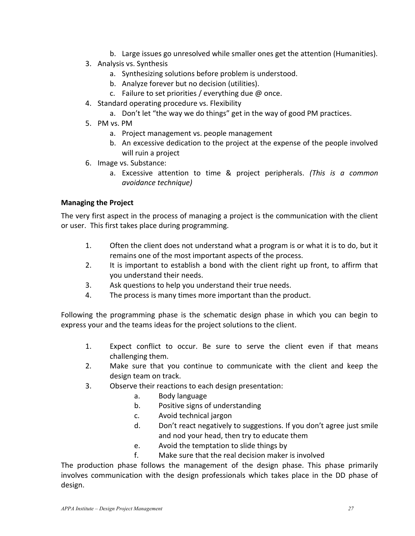- b. Large issues go unresolved while smaller ones get the attention (Humanities).
- 3. Analysis vs. Synthesis
	- a. Synthesizing solutions before problem is understood.
	- b. Analyze forever but no decision (utilities).
	- c. Failure to set priorities / everything due  $\omega$  once.
- 4. Standard operating procedure vs. Flexibility
	- a. Don't let "the way we do things" get in the way of good PM practices.
- 5. PM vs. PM
	- a. Project management vs. people management
	- b. An excessive dedication to the project at the expense of the people involved will ruin a project
- 6. Image vs. Substance:
	- a. Excessive attention to time & project peripherals. *(This is a common avoidance technique)*

# **Managing the Project**

The very first aspect in the process of managing a project is the communication with the client or user. This first takes place during programming.

- 1. Often the client does not understand what a program is or what it is to do, but it remains one of the most important aspects of the process.
- 2. It is important to establish a bond with the client right up front, to affirm that you understand their needs.
- 3. Ask questions to help you understand their true needs.
- 4. The process is many times more important than the product.

Following the programming phase is the schematic design phase in which you can begin to express your and the teams ideas for the project solutions to the client.

- 1. Expect conflict to occur. Be sure to serve the client even if that means challenging them.
- 2. Make sure that you continue to communicate with the client and keep the design team on track.
- 3. Observe their reactions to each design presentation:
	- a. Body language
	- b. Positive signs of understanding
	- c. Avoid technical jargon
	- d. Don't react negatively to suggestions. If you don't agree just smile and nod your head, then try to educate them
	- e. Avoid the temptation to slide things by
	- f. Make sure that the real decision maker is involved

The production phase follows the management of the design phase. This phase primarily involves communication with the design professionals which takes place in the DD phase of design.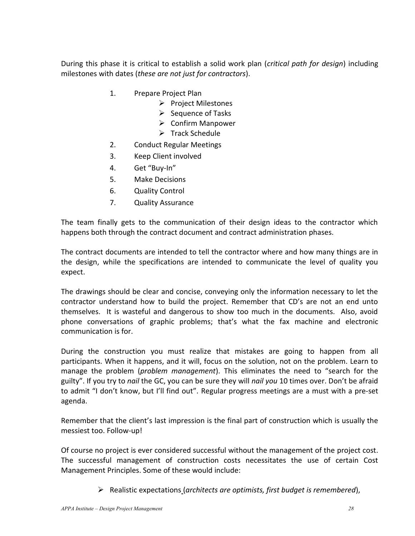During this phase it is critical to establish a solid work plan (*critical path for design*) including milestones with dates (*these are not just for contractors*).

- 1. Prepare Project Plan
	- $\triangleright$  Project Milestones
	- $\triangleright$  Sequence of Tasks
	- $\triangleright$  Confirm Manpower
	- $\triangleright$  Track Schedule
- 2. Conduct Regular Meetings
- 3. Keep Client involved
- 4. Get "Buy-In"
- 5. Make Decisions
- 6. Quality Control
- 7. Quality Assurance

The team finally gets to the communication of their design ideas to the contractor which happens both through the contract document and contract administration phases.

The contract documents are intended to tell the contractor where and how many things are in the design, while the specifications are intended to communicate the level of quality you expect.

The drawings should be clear and concise, conveying only the information necessary to let the contractor understand how to build the project. Remember that CD's are not an end unto themselves. It is wasteful and dangerous to show too much in the documents. Also, avoid phone conversations of graphic problems; that's what the fax machine and electronic communication is for.

During the construction you must realize that mistakes are going to happen from all participants. When it happens, and it will, focus on the solution, not on the problem. Learn to manage the problem (*problem management*). This eliminates the need to "search for the guilty". If you try to *nail* the GC, you can be sure they will *nail you* 10 times over. Don't be afraid to admit "I don't know, but I'll find out". Regular progress meetings are a must with a pre-set agenda.

Remember that the client's last impression is the final part of construction which is usually the messiest too. Follow-up!

Of course no project is ever considered successful without the management of the project cost. The successful management of construction costs necessitates the use of certain Cost Management Principles. Some of these would include:

Realistic expectations (*architects are optimists, first budget is remembered*),